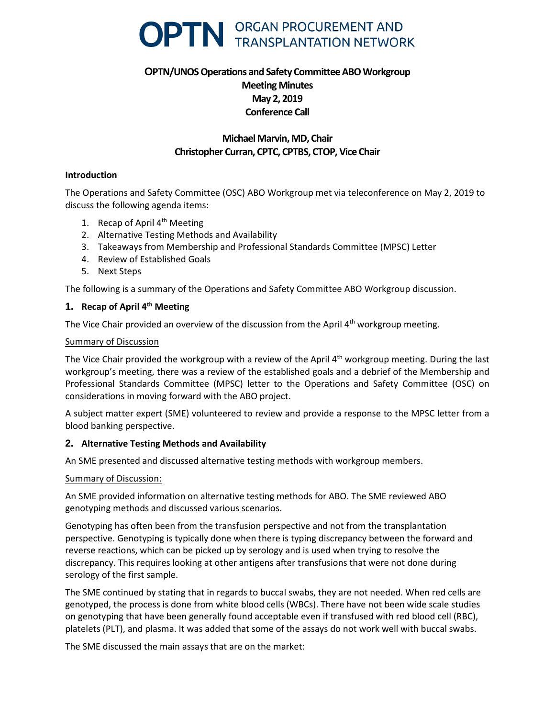

# **OPTN/UNOS Operations and Safety Committee ABO Workgroup Meeting Minutes May 2, 2019 Conference Call**

## **Michael Marvin, MD, Chair Christopher Curran, CPTC, CPTBS, CTOP, Vice Chair**

#### **Introduction**

The Operations and Safety Committee (OSC) ABO Workgroup met via teleconference on May 2, 2019 to discuss the following agenda items:

- 1. Recap of April  $4<sup>th</sup>$  Meeting
- 2. Alternative Testing Methods and Availability
- 3. Takeaways from Membership and Professional Standards Committee (MPSC) Letter
- 4. Review of Established Goals
- 5. Next Steps

The following is a summary of the Operations and Safety Committee ABO Workgroup discussion.

## **1. Recap of April 4th Meeting**

The Vice Chair provided an overview of the discussion from the April 4<sup>th</sup> workgroup meeting.

#### Summary of Discussion

The Vice Chair provided the workgroup with a review of the April  $4<sup>th</sup>$  workgroup meeting. During the last workgroup's meeting, there was a review of the established goals and a debrief of the Membership and Professional Standards Committee (MPSC) letter to the Operations and Safety Committee (OSC) on considerations in moving forward with the ABO project.

A subject matter expert (SME) volunteered to review and provide a response to the MPSC letter from a blood banking perspective.

## **2. Alternative Testing Methods and Availability**

An SME presented and discussed alternative testing methods with workgroup members.

#### Summary of Discussion:

An SME provided information on alternative testing methods for ABO. The SME reviewed ABO genotyping methods and discussed various scenarios.

Genotyping has often been from the transfusion perspective and not from the transplantation perspective. Genotyping is typically done when there is typing discrepancy between the forward and reverse reactions, which can be picked up by serology and is used when trying to resolve the discrepancy. This requires looking at other antigens after transfusions that were not done during serology of the first sample.

The SME continued by stating that in regards to buccal swabs, they are not needed. When red cells are genotyped, the process is done from white blood cells (WBCs). There have not been wide scale studies on genotyping that have been generally found acceptable even if transfused with red blood cell (RBC), platelets (PLT), and plasma. It was added that some of the assays do not work well with buccal swabs.

The SME discussed the main assays that are on the market: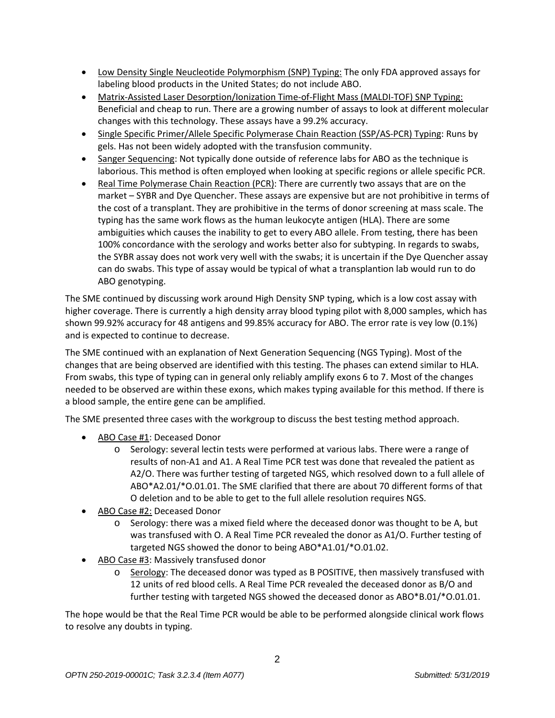- Low Density Single Neucleotide Polymorphism (SNP) Typing: The only FDA approved assays for labeling blood products in the United States; do not include ABO.
- Matrix-Assisted Laser Desorption/Ionization Time-of-Flight Mass (MALDI-TOF) SNP Typing: Beneficial and cheap to run. There are a growing number of assays to look at different molecular changes with this technology. These assays have a 99.2% accuracy.
- Single Specific Primer/Allele Specific Polymerase Chain Reaction (SSP/AS-PCR) Typing: Runs by gels. Has not been widely adopted with the transfusion community.
- Sanger Sequencing: Not typically done outside of reference labs for ABO as the technique is laborious. This method is often employed when looking at specific regions or allele specific PCR.
- Real Time Polymerase Chain Reaction (PCR): There are currently two assays that are on the market – SYBR and Dye Quencher. These assays are expensive but are not prohibitive in terms of the cost of a transplant. They are prohibitive in the terms of donor screening at mass scale. The typing has the same work flows as the human leukocyte antigen (HLA). There are some ambiguities which causes the inability to get to every ABO allele. From testing, there has been 100% concordance with the serology and works better also for subtyping. In regards to swabs, the SYBR assay does not work very well with the swabs; it is uncertain if the Dye Quencher assay can do swabs. This type of assay would be typical of what a transplantion lab would run to do ABO genotyping.

The SME continued by discussing work around High Density SNP typing, which is a low cost assay with higher coverage. There is currently a high density array blood typing pilot with 8,000 samples, which has shown 99.92% accuracy for 48 antigens and 99.85% accuracy for ABO. The error rate is vey low (0.1%) and is expected to continue to decrease.

The SME continued with an explanation of Next Generation Sequencing (NGS Typing). Most of the changes that are being observed are identified with this testing. The phases can extend similar to HLA. From swabs, this type of typing can in general only reliably amplify exons 6 to 7. Most of the changes needed to be observed are within these exons, which makes typing available for this method. If there is a blood sample, the entire gene can be amplified.

The SME presented three cases with the workgroup to discuss the best testing method approach.

- ABO Case #1: Deceased Donor
	- o Serology: several lectin tests were performed at various labs. There were a range of results of non-A1 and A1. A Real Time PCR test was done that revealed the patient as A2/O. There was further testing of targeted NGS, which resolved down to a full allele of ABO\*A2.01/\*O.01.01. The SME clarified that there are about 70 different forms of that O deletion and to be able to get to the full allele resolution requires NGS.
- ABO Case #2: Deceased Donor
	- o Serology: there was a mixed field where the deceased donor was thought to be A, but was transfused with O. A Real Time PCR revealed the donor as A1/O. Further testing of targeted NGS showed the donor to being ABO\*A1.01/\*O.01.02.
- ABO Case #3: Massively transfused donor
	- o Serology: The deceased donor was typed as B POSITIVE, then massively transfused with 12 units of red blood cells. A Real Time PCR revealed the deceased donor as B/O and further testing with targeted NGS showed the deceased donor as ABO\*B.01/\*O.01.01.

The hope would be that the Real Time PCR would be able to be performed alongside clinical work flows to resolve any doubts in typing.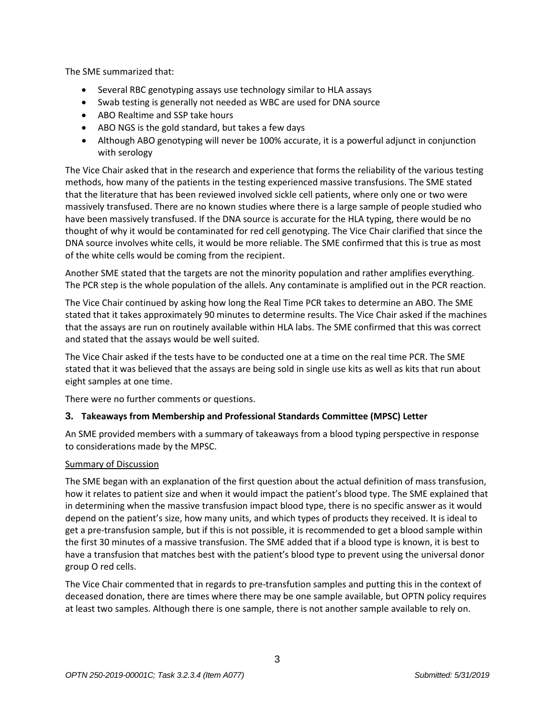The SME summarized that:

- Several RBC genotyping assays use technology similar to HLA assays
- Swab testing is generally not needed as WBC are used for DNA source
- ABO Realtime and SSP take hours
- ABO NGS is the gold standard, but takes a few days
- Although ABO genotyping will never be 100% accurate, it is a powerful adjunct in conjunction with serology

The Vice Chair asked that in the research and experience that forms the reliability of the various testing methods, how many of the patients in the testing experienced massive transfusions. The SME stated that the literature that has been reviewed involved sickle cell patients, where only one or two were massively transfused. There are no known studies where there is a large sample of people studied who have been massively transfused. If the DNA source is accurate for the HLA typing, there would be no thought of why it would be contaminated for red cell genotyping. The Vice Chair clarified that since the DNA source involves white cells, it would be more reliable. The SME confirmed that this is true as most of the white cells would be coming from the recipient.

Another SME stated that the targets are not the minority population and rather amplifies everything. The PCR step is the whole population of the allels. Any contaminate is amplified out in the PCR reaction.

The Vice Chair continued by asking how long the Real Time PCR takes to determine an ABO. The SME stated that it takes approximately 90 minutes to determine results. The Vice Chair asked if the machines that the assays are run on routinely available within HLA labs. The SME confirmed that this was correct and stated that the assays would be well suited.

The Vice Chair asked if the tests have to be conducted one at a time on the real time PCR. The SME stated that it was believed that the assays are being sold in single use kits as well as kits that run about eight samples at one time.

There were no further comments or questions.

## **3. Takeaways from Membership and Professional Standards Committee (MPSC) Letter**

An SME provided members with a summary of takeaways from a blood typing perspective in response to considerations made by the MPSC.

## Summary of Discussion

The SME began with an explanation of the first question about the actual definition of mass transfusion, how it relates to patient size and when it would impact the patient's blood type. The SME explained that in determining when the massive transfusion impact blood type, there is no specific answer as it would depend on the patient's size, how many units, and which types of products they received. It is ideal to get a pre-transfusion sample, but if this is not possible, it is recommended to get a blood sample within the first 30 minutes of a massive transfusion. The SME added that if a blood type is known, it is best to have a transfusion that matches best with the patient's blood type to prevent using the universal donor group O red cells.

The Vice Chair commented that in regards to pre-transfution samples and putting this in the context of deceased donation, there are times where there may be one sample available, but OPTN policy requires at least two samples. Although there is one sample, there is not another sample available to rely on.

3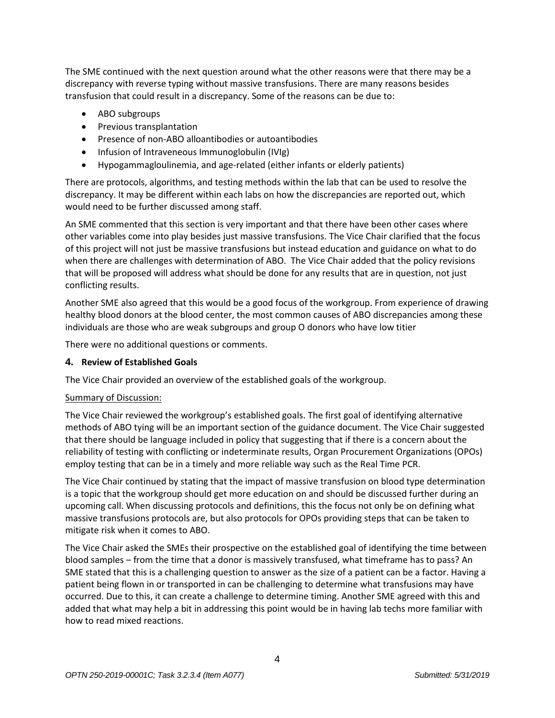The SME continued with the next question around what the other reasons were that there may be a discrepancy with reverse typing without massive transfusions. There are many reasons besides transfusion that could result in a discrepancy. Some of the reasons can be due to:

- ABO subgroups
- Previous transplantation
- Presence of non-ABO alloantibodies or autoantibodies
- Infusion of Intraveneous Immunoglobulin (IVIg)
- Hypogammagloulinemia, and age-related (either infants or elderly patients)

There are protocols, algorithms, and testing methods within the lab that can be used to resolve the discrepancy. It may be different within each labs on how the discrepancies are reported out, which would need to be further discussed among staff.

An SME commented that this section is very important and that there have been other cases where other variables come into play besides just massive transfusions. The Vice Chair clarified that the focus of this project will not just be massive transfusions but instead education and guidance on what to do when there are challenges with determination of ABO. The Vice Chair added that the policy revisions that will be proposed will address what should be done for any results that are in question, not just conflicting results.

Another SME also agreed that this would be a good focus of the workgroup. From experience of drawing healthy blood donors at the blood center, the most common causes of ABO discrepancies among these individuals are those who are weak subgroups and group O donors who have low titier

There were no additional questions or comments.

## **4. Review of Established Goals**

The Vice Chair provided an overview of the established goals of the workgroup.

## Summary of Discussion:

The Vice Chair reviewed the workgroup's established goals. The first goal of identifying alternative methods of ABO tying will be an important section of the guidance document. The Vice Chair suggested that there should be language included in policy that suggesting that if there is a concern about the reliability of testing with conflicting or indeterminate results, Organ Procurement Organizations (OPOs) employ testing that can be in a timely and more reliable way such as the Real Time PCR.

The Vice Chair continued by stating that the impact of massive transfusion on blood type determination is a topic that the workgroup should get more education on and should be discussed further during an upcoming call. When discussing protocols and definitions, this the focus not only be on defining what massive transfusions protocols are, but also protocols for OPOs providing steps that can be taken to mitigate risk when it comes to ABO.

The Vice Chair asked the SMEs their prospective on the established goal of identifying the time between blood samples – from the time that a donor is massively transfused, what timeframe has to pass? An SME stated that this is a challenging question to answer as the size of a patient can be a factor. Having a patient being flown in or transported in can be challenging to determine what transfusions may have occurred. Due to this, it can create a challenge to determine timing. Another SME agreed with this and added that what may help a bit in addressing this point would be in having lab techs more familiar with how to read mixed reactions.